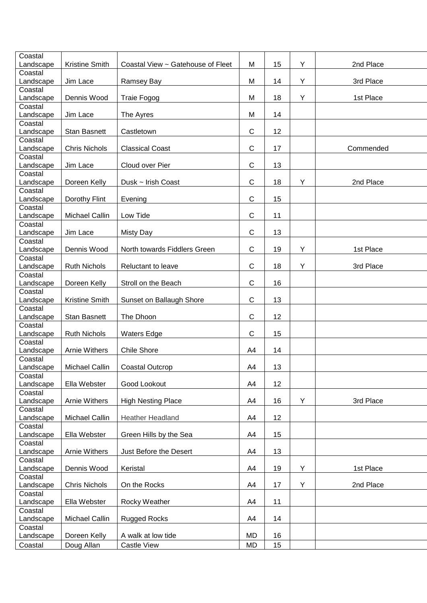| Coastal   |                       |                                   |              |    |   |           |
|-----------|-----------------------|-----------------------------------|--------------|----|---|-----------|
| Landscape | Kristine Smith        | Coastal View ~ Gatehouse of Fleet | M            | 15 | Y | 2nd Place |
| Coastal   |                       |                                   |              |    |   |           |
| Landscape | Jim Lace              | Ramsey Bay                        | M            | 14 | Y | 3rd Place |
| Coastal   |                       |                                   |              |    |   |           |
| Landscape | Dennis Wood           | Traie Fogog                       | M            | 18 | Υ | 1st Place |
| Coastal   |                       |                                   |              |    |   |           |
| Landscape | Jim Lace              | The Ayres                         | M            | 14 |   |           |
| Coastal   |                       |                                   |              |    |   |           |
| Landscape | <b>Stan Basnett</b>   | Castletown                        | $\mathsf C$  | 12 |   |           |
| Coastal   |                       |                                   |              |    |   |           |
| Landscape | <b>Chris Nichols</b>  | <b>Classical Coast</b>            | $\mathsf{C}$ | 17 |   | Commended |
| Coastal   |                       |                                   |              |    |   |           |
| Landscape | Jim Lace              | Cloud over Pier                   | $\mathsf{C}$ | 13 |   |           |
| Coastal   |                       |                                   |              |    |   |           |
| Landscape | Doreen Kelly          | Dusk ~ Irish Coast                | $\mathsf C$  | 18 | Υ | 2nd Place |
| Coastal   |                       |                                   |              |    |   |           |
| Landscape | Dorothy Flint         | Evening                           | $\mathsf C$  | 15 |   |           |
| Coastal   |                       |                                   |              |    |   |           |
| Landscape | <b>Michael Callin</b> | Low Tide                          | $\mathsf C$  | 11 |   |           |
| Coastal   |                       |                                   |              |    |   |           |
|           | Jim Lace              | <b>Misty Day</b>                  | C            | 13 |   |           |
| Landscape |                       |                                   |              |    |   |           |
| Coastal   |                       |                                   |              |    |   |           |
| Landscape | Dennis Wood           | North towards Fiddlers Green      | $\mathsf C$  | 19 | Y | 1st Place |
| Coastal   |                       |                                   |              |    |   |           |
| Landscape | <b>Ruth Nichols</b>   | Reluctant to leave                | $\mathsf C$  | 18 | Y | 3rd Place |
| Coastal   |                       |                                   |              |    |   |           |
| Landscape | Doreen Kelly          | Stroll on the Beach               | $\mathsf C$  | 16 |   |           |
| Coastal   |                       |                                   |              |    |   |           |
| Landscape | Kristine Smith        | Sunset on Ballaugh Shore          | $\mathsf C$  | 13 |   |           |
| Coastal   |                       |                                   |              |    |   |           |
| Landscape | <b>Stan Basnett</b>   | The Dhoon                         | $\mathsf{C}$ | 12 |   |           |
| Coastal   |                       |                                   |              |    |   |           |
| Landscape | <b>Ruth Nichols</b>   | <b>Waters Edge</b>                | $\mathsf C$  | 15 |   |           |
| Coastal   |                       |                                   |              |    |   |           |
| Landscape | <b>Arnie Withers</b>  | <b>Chile Shore</b>                | A4           | 14 |   |           |
| Coastal   |                       |                                   |              |    |   |           |
| Landscape | Michael Callin        | <b>Coastal Outcrop</b>            | A4           | 13 |   |           |
| Coastal   |                       |                                   |              |    |   |           |
| Landscape | Ella Webster          | Good Lookout                      | A4           | 12 |   |           |
| Coastal   |                       |                                   |              |    |   |           |
| Landscape | <b>Arnie Withers</b>  | <b>High Nesting Place</b>         | A4           | 16 | Y | 3rd Place |
| Coastal   |                       |                                   |              |    |   |           |
| Landscape | Michael Callin        | <b>Heather Headland</b>           | A4           | 12 |   |           |
| Coastal   |                       |                                   |              |    |   |           |
| Landscape | Ella Webster          | Green Hills by the Sea            | A4           | 15 |   |           |
| Coastal   |                       |                                   |              |    |   |           |
| Landscape | <b>Arnie Withers</b>  | Just Before the Desert            | A4           | 13 |   |           |
| Coastal   |                       |                                   |              |    |   |           |
| Landscape | Dennis Wood           | Keristal                          | A4           | 19 | Y | 1st Place |
|           |                       |                                   |              |    |   |           |
| Coastal   |                       |                                   |              |    | Υ |           |
| Landscape | <b>Chris Nichols</b>  | On the Rocks                      | A4           | 17 |   | 2nd Place |
| Coastal   |                       |                                   |              |    |   |           |
| Landscape | Ella Webster          | Rocky Weather                     | A4           | 11 |   |           |
| Coastal   |                       |                                   |              |    |   |           |
| Landscape | Michael Callin        | <b>Rugged Rocks</b>               | A4           | 14 |   |           |
| Coastal   |                       |                                   |              |    |   |           |
| Landscape | Doreen Kelly          | A walk at low tide                | MD           | 16 |   |           |
| Coastal   | Doug Allan            | Castle View                       | MD           | 15 |   |           |
|           |                       |                                   |              |    |   |           |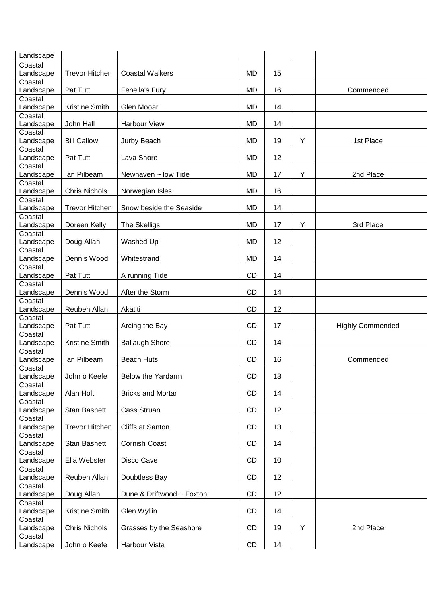| Landscape            |                       |                           |           |    |   |                         |
|----------------------|-----------------------|---------------------------|-----------|----|---|-------------------------|
| Coastal              |                       |                           |           |    |   |                         |
| Landscape            | <b>Trevor Hitchen</b> | <b>Coastal Walkers</b>    | <b>MD</b> | 15 |   |                         |
| Coastal              |                       |                           |           |    |   |                         |
| Landscape            | Pat Tutt              | Fenella's Fury            | <b>MD</b> | 16 |   | Commended               |
| Coastal              |                       |                           |           |    |   |                         |
| Landscape            | Kristine Smith        | Glen Mooar                | <b>MD</b> | 14 |   |                         |
| Coastal              |                       |                           |           |    |   |                         |
| Landscape            | John Hall             | <b>Harbour View</b>       | MD        | 14 |   |                         |
| Coastal              | <b>Bill Callow</b>    | Jurby Beach               | <b>MD</b> | 19 | Y | 1st Place               |
| Landscape<br>Coastal |                       |                           |           |    |   |                         |
| Landscape            | Pat Tutt              | Lava Shore                | MD        | 12 |   |                         |
| Coastal              |                       |                           |           |    |   |                         |
| Landscape            | lan Pilbeam           | Newhaven ~ low Tide       | MD        | 17 | Y | 2nd Place               |
| Coastal              |                       |                           |           |    |   |                         |
| Landscape            | <b>Chris Nichols</b>  | Norwegian Isles           | MD        | 16 |   |                         |
| Coastal              |                       |                           |           |    |   |                         |
| Landscape            | <b>Trevor Hitchen</b> | Snow beside the Seaside   | <b>MD</b> | 14 |   |                         |
| Coastal              |                       |                           |           |    |   |                         |
| Landscape            | Doreen Kelly          | The Skelligs              | <b>MD</b> | 17 | Y | 3rd Place               |
| Coastal              |                       |                           |           |    |   |                         |
| Landscape            | Doug Allan            | Washed Up                 | <b>MD</b> | 12 |   |                         |
| Coastal              |                       |                           |           |    |   |                         |
| Landscape            | Dennis Wood           | Whitestrand               | <b>MD</b> | 14 |   |                         |
| Coastal              |                       |                           |           |    |   |                         |
| Landscape<br>Coastal | Pat Tutt              | A running Tide            | <b>CD</b> | 14 |   |                         |
| Landscape            | Dennis Wood           | After the Storm           | <b>CD</b> | 14 |   |                         |
| Coastal              |                       |                           |           |    |   |                         |
| Landscape            | Reuben Allan          | Akatiti                   | <b>CD</b> | 12 |   |                         |
| Coastal              |                       |                           |           |    |   |                         |
| Landscape            | Pat Tutt              | Arcing the Bay            | <b>CD</b> | 17 |   | <b>Highly Commended</b> |
| Coastal              |                       |                           |           |    |   |                         |
| Landscape            | <b>Kristine Smith</b> | <b>Ballaugh Shore</b>     | <b>CD</b> | 14 |   |                         |
| Coastal              |                       |                           |           |    |   |                         |
| Landscape            | lan Pilbeam           | <b>Beach Huts</b>         | <b>CD</b> | 16 |   | Commended               |
| Coastal              |                       |                           |           |    |   |                         |
| Landscape            | John o Keefe          | Below the Yardarm         | CD        | 13 |   |                         |
| Coastal              |                       |                           |           |    |   |                         |
| Landscape            | Alan Holt             | <b>Bricks and Mortar</b>  | CD        | 14 |   |                         |
| Coastal              |                       |                           |           |    |   |                         |
| Landscape<br>Coastal | Stan Basnett          | Cass Struan               | CD        | 12 |   |                         |
| Landscape            | <b>Trevor Hitchen</b> | Cliffs at Santon          | CD        | 13 |   |                         |
| Coastal              |                       |                           |           |    |   |                         |
| Landscape            | Stan Basnett          | Cornish Coast             | CD        | 14 |   |                         |
| Coastal              |                       |                           |           |    |   |                         |
| Landscape            | Ella Webster          | Disco Cave                | CD        | 10 |   |                         |
| Coastal              |                       |                           |           |    |   |                         |
| Landscape            | Reuben Allan          | Doubtless Bay             | CD        | 12 |   |                         |
| Coastal              |                       |                           |           |    |   |                         |
| Landscape            | Doug Allan            | Dune & Driftwood ~ Foxton | CD        | 12 |   |                         |
| Coastal              |                       |                           |           |    |   |                         |
| Landscape            | Kristine Smith        | Glen Wyllin               | CD        | 14 |   |                         |
| Coastal              |                       |                           |           |    |   |                         |
| Landscape            | <b>Chris Nichols</b>  | Grasses by the Seashore   | CD        | 19 | Y | 2nd Place               |
| Coastal              |                       |                           |           |    |   |                         |
| Landscape            | John o Keefe          | Harbour Vista             | CD        | 14 |   |                         |